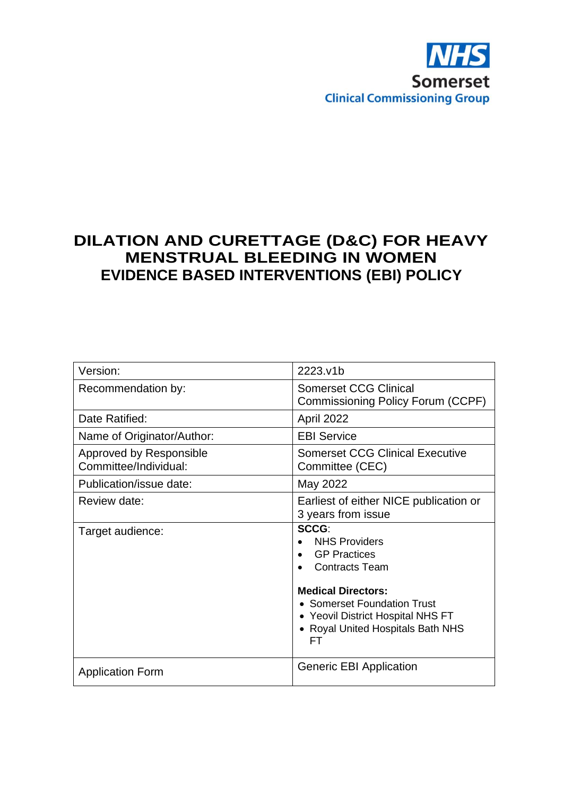

# **DILATION AND CURETTAGE (D&C) FOR HEAVY MENSTRUAL BLEEDING IN WOMEN EVIDENCE BASED INTERVENTIONS (EBI) POLICY**

| Version:                                         | 2223.v1b                                                                                                                                                                                                                               |
|--------------------------------------------------|----------------------------------------------------------------------------------------------------------------------------------------------------------------------------------------------------------------------------------------|
| Recommendation by:                               | <b>Somerset CCG Clinical</b><br>Commissioning Policy Forum (CCPF)                                                                                                                                                                      |
| Date Ratified:                                   | April 2022                                                                                                                                                                                                                             |
| Name of Originator/Author:                       | <b>EBI Service</b>                                                                                                                                                                                                                     |
| Approved by Responsible<br>Committee/Individual: | <b>Somerset CCG Clinical Executive</b><br>Committee (CEC)                                                                                                                                                                              |
| Publication/issue date:                          | May 2022                                                                                                                                                                                                                               |
| Review date:                                     | Earliest of either NICE publication or<br>3 years from issue                                                                                                                                                                           |
| Target audience:                                 | SCCG:<br><b>NHS Providers</b><br><b>GP Practices</b><br>$\bullet$<br><b>Contracts Team</b><br><b>Medical Directors:</b><br>• Somerset Foundation Trust<br>• Yeovil District Hospital NHS FT<br>• Royal United Hospitals Bath NHS<br>FТ |
| <b>Application Form</b>                          | <b>Generic EBI Application</b>                                                                                                                                                                                                         |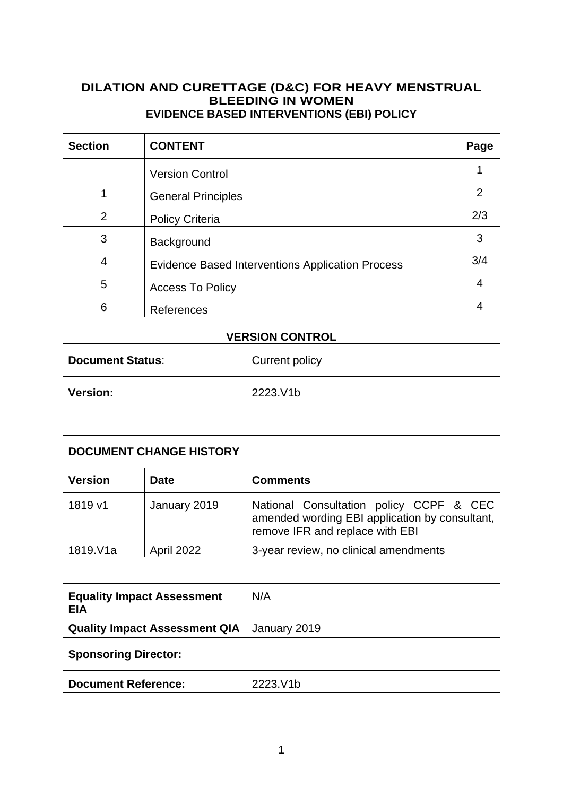#### **DILATION AND CURETTAGE (D&C) FOR HEAVY MENSTRUAL BLEEDING IN WOMEN EVIDENCE BASED INTERVENTIONS (EBI) POLICY**

| <b>Section</b> | <b>CONTENT</b>                                          | Page |
|----------------|---------------------------------------------------------|------|
|                | <b>Version Control</b>                                  |      |
|                | <b>General Principles</b>                               | 2    |
| 2              | <b>Policy Criteria</b>                                  | 2/3  |
| 3              | Background                                              | 3    |
| 4              | <b>Evidence Based Interventions Application Process</b> | 3/4  |
| 5              | <b>Access To Policy</b>                                 |      |
| 6              | References                                              |      |

## **VERSION CONTROL**

| <b>Document Status:</b> | Current policy |
|-------------------------|----------------|
| <b>Version:</b>         | 2223.V1b       |

| <b>DOCUMENT CHANGE HISTORY</b> |                   |                                                                                                                              |
|--------------------------------|-------------------|------------------------------------------------------------------------------------------------------------------------------|
| <b>Version</b>                 | <b>Date</b>       | <b>Comments</b>                                                                                                              |
| 1819 v1                        | January 2019      | National Consultation policy CCPF & CEC<br>amended wording EBI application by consultant,<br>remove IFR and replace with EBI |
| 1819.V1a                       | <b>April 2022</b> | 3-year review, no clinical amendments                                                                                        |

| <b>Equality Impact Assessment</b><br><b>EIA</b> | N/A          |
|-------------------------------------------------|--------------|
| <b>Quality Impact Assessment QIA</b>            | January 2019 |
| <b>Sponsoring Director:</b>                     |              |
| <b>Document Reference:</b>                      | 2223.V1b     |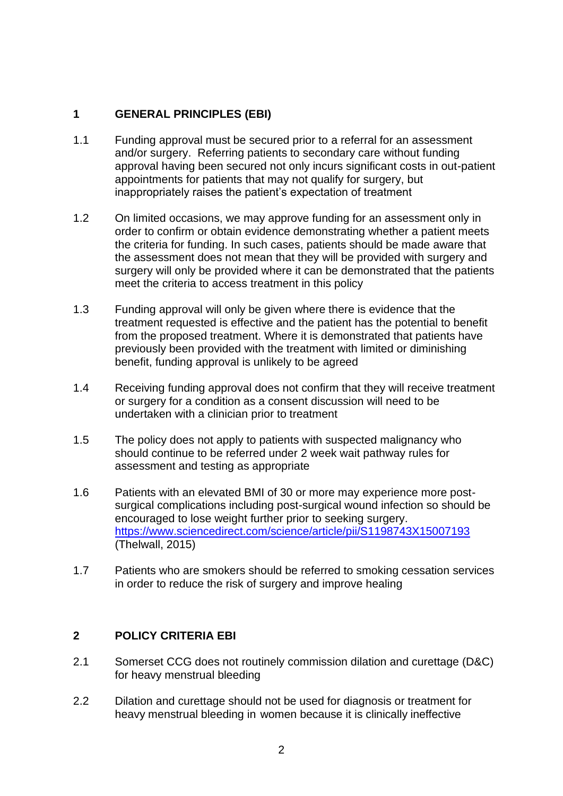## **1 GENERAL PRINCIPLES (EBI)**

- 1.1 Funding approval must be secured prior to a referral for an assessment and/or surgery. Referring patients to secondary care without funding approval having been secured not only incurs significant costs in out-patient appointments for patients that may not qualify for surgery, but inappropriately raises the patient's expectation of treatment
- 1.2 On limited occasions, we may approve funding for an assessment only in order to confirm or obtain evidence demonstrating whether a patient meets the criteria for funding. In such cases, patients should be made aware that the assessment does not mean that they will be provided with surgery and surgery will only be provided where it can be demonstrated that the patients meet the criteria to access treatment in this policy
- 1.3 Funding approval will only be given where there is evidence that the treatment requested is effective and the patient has the potential to benefit from the proposed treatment. Where it is demonstrated that patients have previously been provided with the treatment with limited or diminishing benefit, funding approval is unlikely to be agreed
- 1.4 Receiving funding approval does not confirm that they will receive treatment or surgery for a condition as a consent discussion will need to be undertaken with a clinician prior to treatment
- 1.5 The policy does not apply to patients with suspected malignancy who should continue to be referred under 2 week wait pathway rules for assessment and testing as appropriate
- 1.6 Patients with an elevated BMI of 30 or more may experience more postsurgical complications including post-surgical wound infection so should be encouraged to lose weight further prior to seeking surgery. <https://www.sciencedirect.com/science/article/pii/S1198743X15007193> (Thelwall, 2015)
- 1.7 Patients who are smokers should be referred to smoking cessation services in order to reduce the risk of surgery and improve healing

### **2 POLICY CRITERIA EBI**

- 2.1 Somerset CCG does not routinely commission dilation and curettage (D&C) for heavy menstrual bleeding
- 2.2 Dilation and curettage should not be used for diagnosis or treatment for heavy menstrual bleeding in women because it is clinically ineffective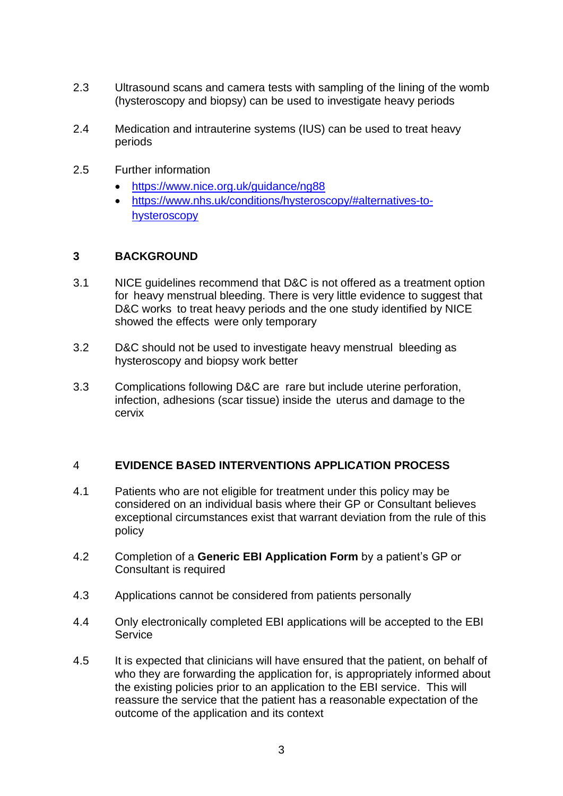- 2.3 Ultrasound scans and camera tests with sampling of the lining of the womb (hysteroscopy and biopsy) can be used to investigate heavy periods
- 2.4 Medication and intrauterine systems (IUS) can be used to treat heavy periods
- 2.5 Further information
	- https:/[/www.nice.org.uk/guidance/ng88](http://www.nice.org.uk/guidance/ng88)
	- https:/[/www.nhs.uk/conditions/hysteroscopy/#alternatives-to](http://www.nhs.uk/conditions/hysteroscopy/#alternatives-to-hysteroscopy)[hysteroscopy](http://www.nhs.uk/conditions/hysteroscopy/#alternatives-to-hysteroscopy)

#### **3 BACKGROUND**

- 3.1 NICE guidelines recommend that D&C is not offered as a treatment option for heavy menstrual bleeding. There is very little evidence to suggest that D&C works to treat heavy periods and the one study identified by NICE showed the effects were only temporary
- 3.2 D&C should not be used to investigate heavy menstrual bleeding as hysteroscopy and biopsy work better
- 3.3 Complications following D&C are rare but include uterine perforation, infection, adhesions (scar tissue) inside the uterus and damage to the cervix

### 4 **EVIDENCE BASED INTERVENTIONS APPLICATION PROCESS**

- 4.1 Patients who are not eligible for treatment under this policy may be considered on an individual basis where their GP or Consultant believes exceptional circumstances exist that warrant deviation from the rule of this policy
- 4.2 Completion of a **Generic EBI Application Form** by a patient's GP or Consultant is required
- 4.3 Applications cannot be considered from patients personally
- 4.4 Only electronically completed EBI applications will be accepted to the EBI **Service**
- 4.5 It is expected that clinicians will have ensured that the patient, on behalf of who they are forwarding the application for, is appropriately informed about the existing policies prior to an application to the EBI service. This will reassure the service that the patient has a reasonable expectation of the outcome of the application and its context